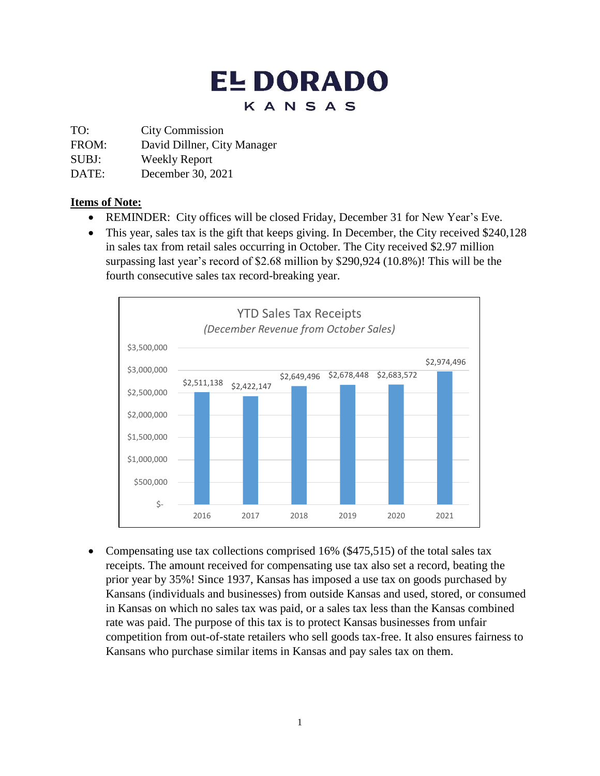# **EL DORADO** KANSAS

TO: City Commission

FROM: David Dillner, City Manager

SUBJ: Weekly Report

DATE: December 30, 2021

### **Items of Note:**

- REMINDER: City offices will be closed Friday, December 31 for New Year's Eve.
- This year, sales tax is the gift that keeps giving. In December, the City received \$240,128 in sales tax from retail sales occurring in October. The City received \$2.97 million surpassing last year's record of \$2.68 million by \$290,924 (10.8%)! This will be the fourth consecutive sales tax record-breaking year.



• Compensating use tax collections comprised 16% (\$475,515) of the total sales tax receipts. The amount received for compensating use tax also set a record, beating the prior year by 35%! Since 1937, Kansas has imposed a use tax on goods purchased by Kansans (individuals and businesses) from outside Kansas and used, stored, or consumed in Kansas on which no sales tax was paid, or a sales tax less than the Kansas combined rate was paid. The purpose of this tax is to protect Kansas businesses from unfair competition from out-of-state retailers who sell goods tax-free. It also ensures fairness to Kansans who purchase similar items in Kansas and pay sales tax on them.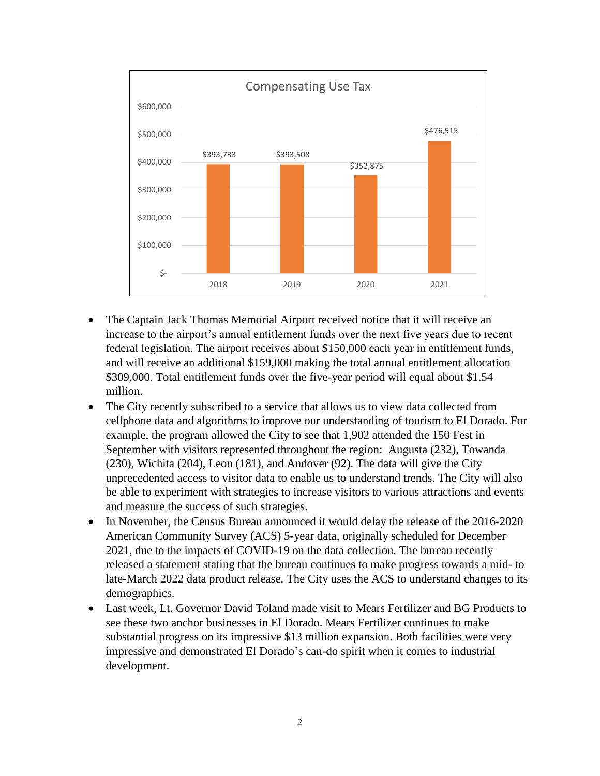

- The Captain Jack Thomas Memorial Airport received notice that it will receive an increase to the airport's annual entitlement funds over the next five years due to recent federal legislation. The airport receives about \$150,000 each year in entitlement funds, and will receive an additional \$159,000 making the total annual entitlement allocation \$309,000. Total entitlement funds over the five-year period will equal about \$1.54 million.
- The City recently subscribed to a service that allows us to view data collected from cellphone data and algorithms to improve our understanding of tourism to El Dorado. For example, the program allowed the City to see that 1,902 attended the 150 Fest in September with visitors represented throughout the region: Augusta (232), Towanda (230), Wichita (204), Leon (181), and Andover (92). The data will give the City unprecedented access to visitor data to enable us to understand trends. The City will also be able to experiment with strategies to increase visitors to various attractions and events and measure the success of such strategies.
- In November, the Census Bureau announced it would delay the release of the 2016-2020 American Community Survey (ACS) 5-year data, originally scheduled for December 2021, due to the impacts of COVID-19 on the data collection. The bureau recently released a statement stating that the bureau continues to make progress towards a mid- to late-March 2022 data product release. The City uses the ACS to understand changes to its demographics.
- Last week, Lt. Governor David Toland made visit to Mears Fertilizer and BG Products to see these two anchor businesses in El Dorado. Mears Fertilizer continues to make substantial progress on its impressive \$13 million expansion. Both facilities were very impressive and demonstrated El Dorado's can-do spirit when it comes to industrial development.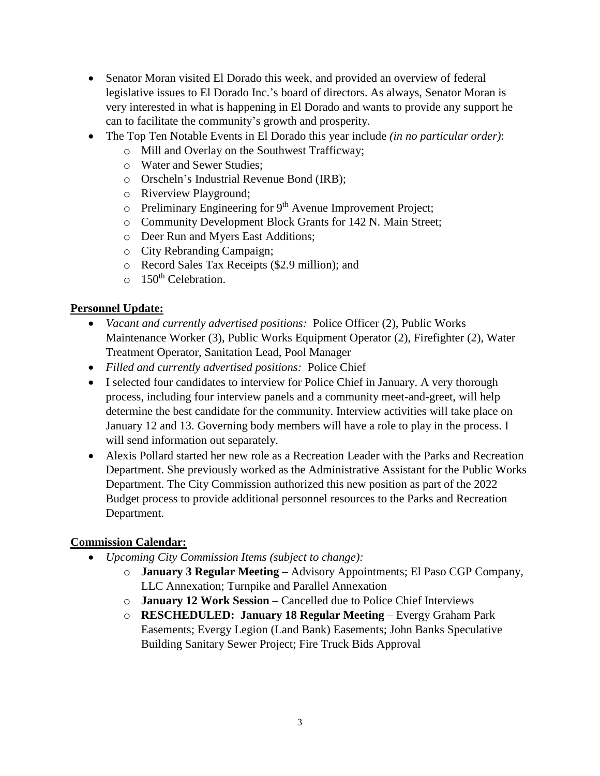- Senator Moran visited El Dorado this week, and provided an overview of federal legislative issues to El Dorado Inc.'s board of directors. As always, Senator Moran is very interested in what is happening in El Dorado and wants to provide any support he can to facilitate the community's growth and prosperity.
- The Top Ten Notable Events in El Dorado this year include *(in no particular order)*:
	- o Mill and Overlay on the Southwest Trafficway;
	- o Water and Sewer Studies;
	- o Orscheln's Industrial Revenue Bond (IRB);
	- o Riverview Playground;
	- o Preliminary Engineering for 9<sup>th</sup> Avenue Improvement Project;
	- o Community Development Block Grants for 142 N. Main Street;
	- o Deer Run and Myers East Additions;
	- o City Rebranding Campaign;
	- o Record Sales Tax Receipts (\$2.9 million); and
	- $\circ$  150<sup>th</sup> Celebration.

#### **Personnel Update:**

- *Vacant and currently advertised positions:* Police Officer (2), Public Works Maintenance Worker (3), Public Works Equipment Operator (2), Firefighter (2), Water Treatment Operator, Sanitation Lead, Pool Manager
- *Filled and currently advertised positions:* Police Chief
- I selected four candidates to interview for Police Chief in January. A very thorough process, including four interview panels and a community meet-and-greet, will help determine the best candidate for the community. Interview activities will take place on January 12 and 13. Governing body members will have a role to play in the process. I will send information out separately.
- Alexis Pollard started her new role as a Recreation Leader with the Parks and Recreation Department. She previously worked as the Administrative Assistant for the Public Works Department. The City Commission authorized this new position as part of the 2022 Budget process to provide additional personnel resources to the Parks and Recreation Department.

## **Commission Calendar:**

- *Upcoming City Commission Items (subject to change):*
	- o **January 3 Regular Meeting –** Advisory Appointments; El Paso CGP Company, LLC Annexation; Turnpike and Parallel Annexation
	- o **January 12 Work Session –** Cancelled due to Police Chief Interviews
	- o **RESCHEDULED: January 18 Regular Meeting**  Evergy Graham Park Easements; Evergy Legion (Land Bank) Easements; John Banks Speculative Building Sanitary Sewer Project; Fire Truck Bids Approval